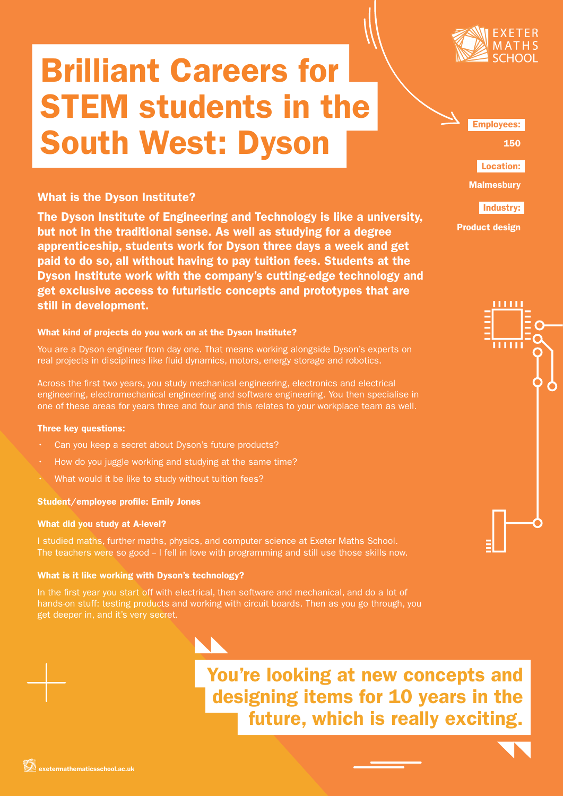

# Brilliant Careers for STEM students in the South West: Dyson

# What is the Dyson Institute?

The Dyson Institute of Engineering and Technology is like a university, but not in the traditional sense. As well as studying for a degree apprenticeship, students work for Dyson three days a week and get paid to do so, all without having to pay tuition fees. Students at the Dyson Institute work with the company's cutting-edge technology and get exclusive access to futuristic concepts and prototypes that are still in development.

## What kind of projects do you work on at the Dyson Institute?

You are a Dyson engineer from day one. That means working alongside Dyson's experts on real projects in disciplines like fluid dynamics, motors, energy storage and robotics.

Across the first two years, you study mechanical engineering, electronics and electrical engineering, electromechanical engineering and software engineering. You then specialise in one of these areas for years three and four and this relates to your workplace team as well.

### Three key questions:

- Can you keep a secret about Dyson's future products?
- How do you juggle working and studying at the same time?
- 

### Student/employee profile: Emily Jones

### What did you study at A-level?

I studied maths, further maths, physics, and computer science at Exeter Maths School. The teachers were so good - I fell in love with programming and still use those skills now.

# What is it like working with Dyson's technology?

In the first year you start off with electrical, then software and mechanical, and do a lot of hands-on stuff: testing products and working with circuit boards. Then as you go through, you get deeper in, and it's very secret.

> You're looking at new concepts and designing items for 10 years in the future, which is really exciting.



150

Location:

**Malmesbury** 

Industry:

Product design